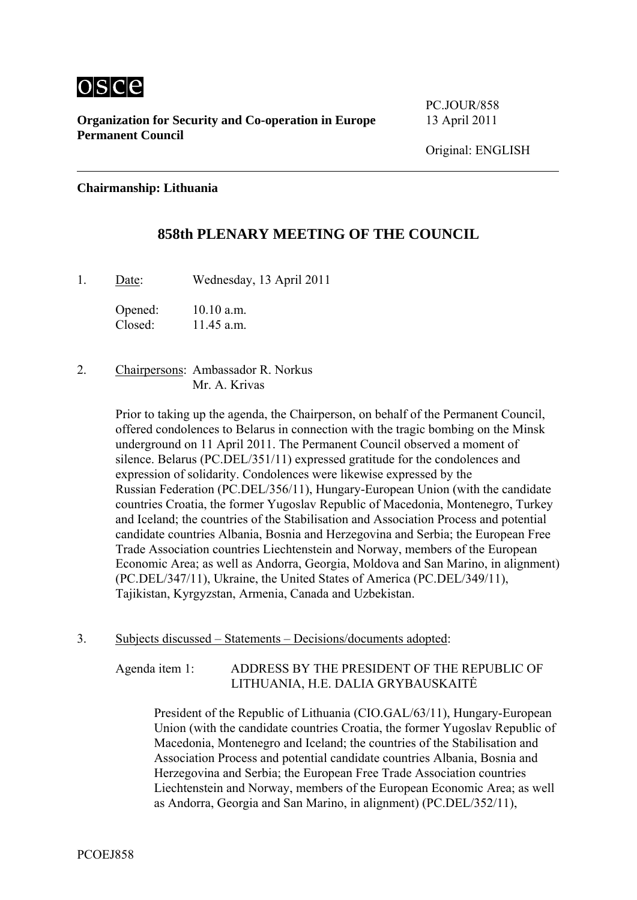

**Organization for Security and Co-operation in Europe** 13 April 2011 **Permanent Council** 

PC.JOUR/858

## **Chairmanship: Lithuania**

## **858th PLENARY MEETING OF THE COUNCIL**

1. Date: Wednesday, 13 April 2011

Opened: 10.10 a.m. Closed: 11.45 a.m.

2. Chairpersons: Ambassador R. Norkus Mr. A. Krivas

> Prior to taking up the agenda, the Chairperson, on behalf of the Permanent Council, offered condolences to Belarus in connection with the tragic bombing on the Minsk underground on 11 April 2011. The Permanent Council observed a moment of silence. Belarus (PC.DEL/351/11) expressed gratitude for the condolences and expression of solidarity. Condolences were likewise expressed by the Russian Federation (PC.DEL/356/11), Hungary-European Union (with the candidate countries Croatia, the former Yugoslav Republic of Macedonia, Montenegro, Turkey and Iceland; the countries of the Stabilisation and Association Process and potential candidate countries Albania, Bosnia and Herzegovina and Serbia; the European Free Trade Association countries Liechtenstein and Norway, members of the European Economic Area; as well as Andorra, Georgia, Moldova and San Marino, in alignment) (PC.DEL/347/11), Ukraine, the United States of America (PC.DEL/349/11), Tajikistan, Kyrgyzstan, Armenia, Canada and Uzbekistan.

3. Subjects discussed – Statements – Decisions/documents adopted:

Agenda item 1: ADDRESS BY THE PRESIDENT OF THE REPUBLIC OF LITHUANIA, H.E. DALIA GRYBAUSKAITĖ

> President of the Republic of Lithuania (CIO.GAL/63/11), Hungary-European Union (with the candidate countries Croatia, the former Yugoslav Republic of Macedonia, Montenegro and Iceland; the countries of the Stabilisation and Association Process and potential candidate countries Albania, Bosnia and Herzegovina and Serbia; the European Free Trade Association countries Liechtenstein and Norway, members of the European Economic Area; as well as Andorra, Georgia and San Marino, in alignment) (PC.DEL/352/11),